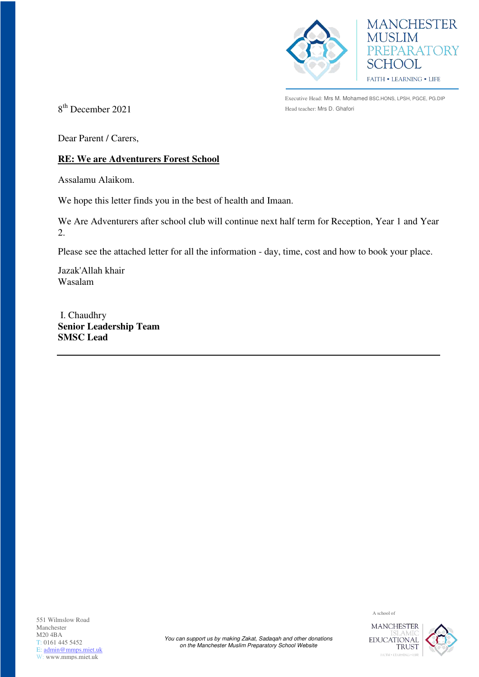



Executive Head: Mrs M. Mohamed BSC.HONS, LPSH, PGCE, PG.DIP

 $8<sup>th</sup> December 2021$  Head teacher: Mrs D. Ghafori

Dear Parent / Carers,

## **RE: We are Adventurers Forest School**

Assalamu Alaikom.

We hope this letter finds you in the best of health and Imaan.

We Are Adventurers after school club will continue next half term for Reception, Year 1 and Year 2.

Please see the attached letter for all the information - day, time, cost and how to book your place.

Jazak'Allah khair Wasalam

 I. Chaudhry **Senior Leadership Team SMSC Lead** 

551 Wilmslow Road Manchester M20 4BA T: 0161 445 5452 E: [admin@mmps.miet.uk](mailto:admin@mmps.miet.uk) W: www.mmps.miet.uk

A school of